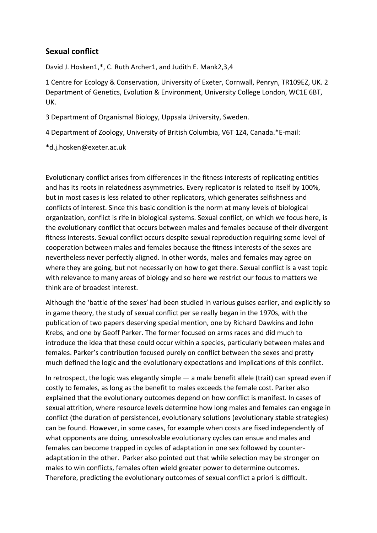# **Sexual conflict**

David J. Hosken1,\*, C. Ruth Archer1, and Judith E. Mank2,3,4

1 Centre for Ecology & Conservation, University of Exeter, Cornwall, Penryn, TR109EZ, UK. 2 Department of Genetics, Evolution & Environment, University College London, WC1E 6BT, UK.

3 Department of Organismal Biology, Uppsala University, Sweden.

4 Department of Zoology, University of British Columbia, V6T 1Z4, Canada.\*E-mail:

\*d.j.hosken@exeter.ac.uk

Evolutionary conflict arises from differences in the fitness interests of replicating entities and has its roots in relatedness asymmetries. Every replicator is related to itself by 100%, but in most cases is less related to other replicators, which generates selfishness and conflicts of interest. Since this basic condition is the norm at many levels of biological organization, conflict is rife in biological systems. Sexual conflict, on which we focus here, is the evolutionary conflict that occurs between males and females because of their divergent fitness interests. Sexual conflict occurs despite sexual reproduction requiring some level of cooperation between males and females because the fitness interests of the sexes are nevertheless never perfectly aligned. In other words, males and females may agree on where they are going, but not necessarily on how to get there. Sexual conflict is a vast topic with relevance to many areas of biology and so here we restrict our focus to matters we think are of broadest interest.

Although the 'battle of the sexes' had been studied in various guises earlier, and explicitly so in game theory, the study of sexual conflict per se really began in the 1970s, with the publication of two papers deserving special mention, one by Richard Dawkins and John Krebs, and one by Geoff Parker. The former focused on arms races and did much to introduce the idea that these could occur within a species, particularly between males and females. Parker's contribution focused purely on conflict between the sexes and pretty much defined the logic and the evolutionary expectations and implications of this conflict.

In retrospect, the logic was elegantly simple — a male benefit allele (trait) can spread even if costly to females, as long as the benefit to males exceeds the female cost. Parker also explained that the evolutionary outcomes depend on how conflict is manifest. In cases of sexual attrition, where resource levels determine how long males and females can engage in conflict (the duration of persistence), evolutionary solutions (evolutionary stable strategies) can be found. However, in some cases, for example when costs are fixed independently of what opponents are doing, unresolvable evolutionary cycles can ensue and males and females can become trapped in cycles of adaptation in one sex followed by counteradaptation in the other. Parker also pointed out that while selection may be stronger on males to win conflicts, females often wield greater power to determine outcomes. Therefore, predicting the evolutionary outcomes of sexual conflict a priori is difficult.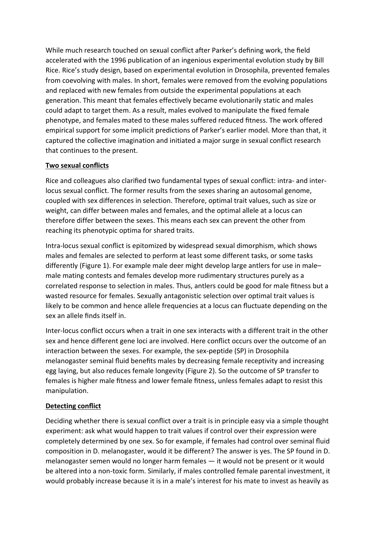While much research touched on sexual conflict after Parker's defining work, the field accelerated with the 1996 publication of an ingenious experimental evolution study by Bill Rice. Rice's study design, based on experimental evolution in Drosophila, prevented females from coevolving with males. In short, females were removed from the evolving populations and replaced with new females from outside the experimental populations at each generation. This meant that females effectively became evolutionarily static and males could adapt to target them. As a result, males evolved to manipulate the fixed female phenotype, and females mated to these males suffered reduced fitness. The work offered empirical support for some implicit predictions of Parker's earlier model. More than that, it captured the collective imagination and initiated a major surge in sexual conflict research that continues to the present.

## **Two sexual conflicts**

Rice and colleagues also clarified two fundamental types of sexual conflict: intra- and interlocus sexual conflict. The former results from the sexes sharing an autosomal genome, coupled with sex differences in selection. Therefore, optimal trait values, such as size or weight, can differ between males and females, and the optimal allele at a locus can therefore differ between the sexes. This means each sex can prevent the other from reaching its phenotypic optima for shared traits.

Intra-locus sexual conflict is epitomized by widespread sexual dimorphism, which shows males and females are selected to perform at least some different tasks, or some tasks differently (Figure 1). For example male deer might develop large antlers for use in male– male mating contests and females develop more rudimentary structures purely as a correlated response to selection in males. Thus, antlers could be good for male fitness but a wasted resource for females. Sexually antagonistic selection over optimal trait values is likely to be common and hence allele frequencies at a locus can fluctuate depending on the sex an allele finds itself in.

Inter-locus conflict occurs when a trait in one sex interacts with a different trait in the other sex and hence different gene loci are involved. Here conflict occurs over the outcome of an interaction between the sexes. For example, the sex-peptide (SP) in Drosophila melanogaster seminal fluid benefits males by decreasing female receptivity and increasing egg laying, but also reduces female longevity (Figure 2). So the outcome of SP transfer to females is higher male fitness and lower female fitness, unless females adapt to resist this manipulation.

### **Detecting conflict**

Deciding whether there is sexual conflict over a trait is in principle easy via a simple thought experiment: ask what would happen to trait values if control over their expression were completely determined by one sex. So for example, if females had control over seminal fluid composition in D. melanogaster, would it be different? The answer is yes. The SP found in D. melanogaster semen would no longer harm females — it would not be present or it would be altered into a non-toxic form. Similarly, if males controlled female parental investment, it would probably increase because it is in a male's interest for his mate to invest as heavily as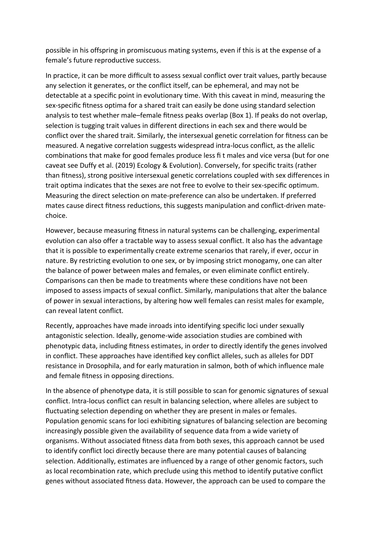possible in his offspring in promiscuous mating systems, even if this is at the expense of a female's future reproductive success.

In practice, it can be more difficult to assess sexual conflict over trait values, partly because any selection it generates, or the conflict itself, can be ephemeral, and may not be detectable at a specific point in evolutionary time. With this caveat in mind, measuring the sex-specific fitness optima for a shared trait can easily be done using standard selection analysis to test whether male–female fitness peaks overlap (Box 1). If peaks do not overlap, selection is tugging trait values in different directions in each sex and there would be conflict over the shared trait. Similarly, the intersexual genetic correlation for fitness can be measured. A negative correlation suggests widespread intra-locus conflict, as the allelic combinations that make for good females produce less fi t males and vice versa (but for one caveat see Duffy et al. (2019) Ecology & Evolution). Conversely, for specific traits (rather than fitness), strong positive intersexual genetic correlations coupled with sex differences in trait optima indicates that the sexes are not free to evolve to their sex-specific optimum. Measuring the direct selection on mate-preference can also be undertaken. If preferred mates cause direct fitness reductions, this suggests manipulation and conflict-driven matechoice.

However, because measuring fitness in natural systems can be challenging, experimental evolution can also offer a tractable way to assess sexual conflict. It also has the advantage that it is possible to experimentally create extreme scenarios that rarely, if ever, occur in nature. By restricting evolution to one sex, or by imposing strict monogamy, one can alter the balance of power between males and females, or even eliminate conflict entirely. Comparisons can then be made to treatments where these conditions have not been imposed to assess impacts of sexual conflict. Similarly, manipulations that alter the balance of power in sexual interactions, by altering how well females can resist males for example, can reveal latent conflict.

Recently, approaches have made inroads into identifying specific loci under sexually antagonistic selection. Ideally, genome-wide association studies are combined with phenotypic data, including fitness estimates, in order to directly identify the genes involved in conflict. These approaches have identified key conflict alleles, such as alleles for DDT resistance in Drosophila, and for early maturation in salmon, both of which influence male and female fitness in opposing directions.

In the absence of phenotype data, it is still possible to scan for genomic signatures of sexual conflict. Intra-locus conflict can result in balancing selection, where alleles are subject to fluctuating selection depending on whether they are present in males or females. Population genomic scans for loci exhibiting signatures of balancing selection are becoming increasingly possible given the availability of sequence data from a wide variety of organisms. Without associated fitness data from both sexes, this approach cannot be used to identify conflict loci directly because there are many potential causes of balancing selection. Additionally, estimates are influenced by a range of other genomic factors, such as local recombination rate, which preclude using this method to identify putative conflict genes without associated fitness data. However, the approach can be used to compare the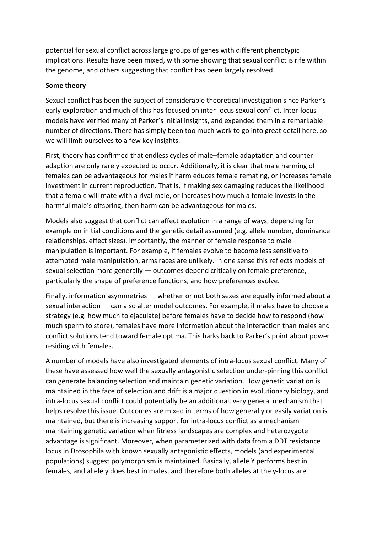potential for sexual conflict across large groups of genes with different phenotypic implications. Results have been mixed, with some showing that sexual conflict is rife within the genome, and others suggesting that conflict has been largely resolved.

### **Some theory**

Sexual conflict has been the subject of considerable theoretical investigation since Parker's early exploration and much of this has focused on inter-locus sexual conflict. Inter-locus models have verified many of Parker's initial insights, and expanded them in a remarkable number of directions. There has simply been too much work to go into great detail here, so we will limit ourselves to a few key insights.

First, theory has confirmed that endless cycles of male–female adaptation and counteradaption are only rarely expected to occur. Additionally, it is clear that male harming of females can be advantageous for males if harm educes female remating, or increases female investment in current reproduction. That is, if making sex damaging reduces the likelihood that a female will mate with a rival male, or increases how much a female invests in the harmful male's offspring, then harm can be advantageous for males.

Models also suggest that conflict can affect evolution in a range of ways, depending for example on initial conditions and the genetic detail assumed (e.g. allele number, dominance relationships, effect sizes). Importantly, the manner of female response to male manipulation is important. For example, if females evolve to become less sensitive to attempted male manipulation, arms races are unlikely. In one sense this reflects models of sexual selection more generally — outcomes depend critically on female preference, particularly the shape of preference functions, and how preferences evolve.

Finally, information asymmetries — whether or not both sexes are equally informed about a sexual interaction — can also alter model outcomes. For example, if males have to choose a strategy (e.g. how much to ejaculate) before females have to decide how to respond (how much sperm to store), females have more information about the interaction than males and conflict solutions tend toward female optima. This harks back to Parker's point about power residing with females.

A number of models have also investigated elements of intra-locus sexual conflict. Many of these have assessed how well the sexually antagonistic selection under-pinning this conflict can generate balancing selection and maintain genetic variation. How genetic variation is maintained in the face of selection and drift is a major question in evolutionary biology, and intra-locus sexual conflict could potentially be an additional, very general mechanism that helps resolve this issue. Outcomes are mixed in terms of how generally or easily variation is maintained, but there is increasing support for intra-locus conflict as a mechanism maintaining genetic variation when fitness landscapes are complex and heterozygote advantage is significant. Moreover, when parameterized with data from a DDT resistance locus in Drosophila with known sexually antagonistic effects, models (and experimental populations) suggest polymorphism is maintained. Basically, allele Y performs best in females, and allele y does best in males, and therefore both alleles at the y-locus are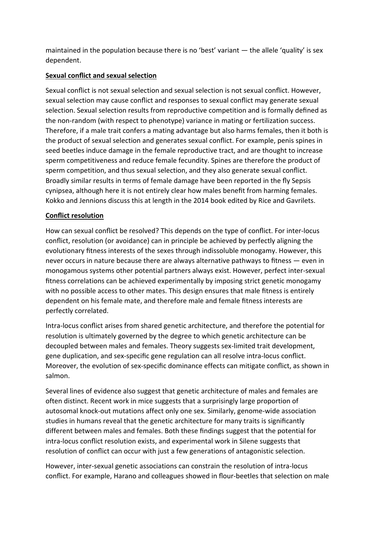maintained in the population because there is no 'best' variant — the allele 'quality' is sex dependent.

### **Sexual conflict and sexual selection**

Sexual conflict is not sexual selection and sexual selection is not sexual conflict. However, sexual selection may cause conflict and responses to sexual conflict may generate sexual selection. Sexual selection results from reproductive competition and is formally defined as the non-random (with respect to phenotype) variance in mating or fertilization success. Therefore, if a male trait confers a mating advantage but also harms females, then it both is the product of sexual selection and generates sexual conflict. For example, penis spines in seed beetles induce damage in the female reproductive tract, and are thought to increase sperm competitiveness and reduce female fecundity. Spines are therefore the product of sperm competition, and thus sexual selection, and they also generate sexual conflict. Broadly similar results in terms of female damage have been reported in the fly Sepsis cynipsea, although here it is not entirely clear how males benefit from harming females. Kokko and Jennions discuss this at length in the 2014 book edited by Rice and Gavrilets.

#### **Conflict resolution**

How can sexual conflict be resolved? This depends on the type of conflict. For inter-locus conflict, resolution (or avoidance) can in principle be achieved by perfectly aligning the evolutionary fitness interests of the sexes through indissoluble monogamy. However, this never occurs in nature because there are always alternative pathways to fitness — even in monogamous systems other potential partners always exist. However, perfect inter-sexual fitness correlations can be achieved experimentally by imposing strict genetic monogamy with no possible access to other mates. This design ensures that male fitness is entirely dependent on his female mate, and therefore male and female fitness interests are perfectly correlated.

Intra-locus conflict arises from shared genetic architecture, and therefore the potential for resolution is ultimately governed by the degree to which genetic architecture can be decoupled between males and females. Theory suggests sex-limited trait development, gene duplication, and sex-specific gene regulation can all resolve intra-locus conflict. Moreover, the evolution of sex-specific dominance effects can mitigate conflict, as shown in salmon.

Several lines of evidence also suggest that genetic architecture of males and females are often distinct. Recent work in mice suggests that a surprisingly large proportion of autosomal knock-out mutations affect only one sex. Similarly, genome-wide association studies in humans reveal that the genetic architecture for many traits is significantly different between males and females. Both these findings suggest that the potential for intra-locus conflict resolution exists, and experimental work in Silene suggests that resolution of conflict can occur with just a few generations of antagonistic selection.

However, inter-sexual genetic associations can constrain the resolution of intra-locus conflict. For example, Harano and colleagues showed in flour-beetles that selection on male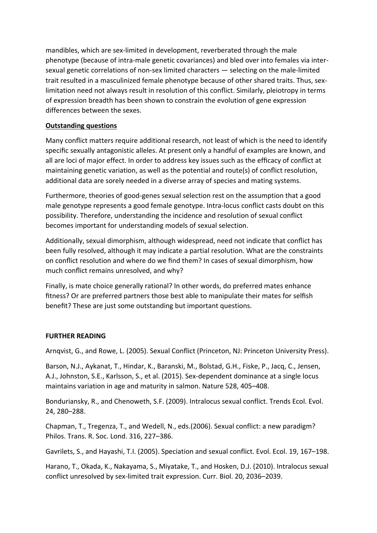mandibles, which are sex-limited in development, reverberated through the male phenotype (because of intra-male genetic covariances) and bled over into females via intersexual genetic correlations of non-sex limited characters — selecting on the male-limited trait resulted in a masculinized female phenotype because of other shared traits. Thus, sexlimitation need not always result in resolution of this conflict. Similarly, pleiotropy in terms of expression breadth has been shown to constrain the evolution of gene expression differences between the sexes.

### **Outstanding questions**

Many conflict matters require additional research, not least of which is the need to identify specific sexually antagonistic alleles. At present only a handful of examples are known, and all are loci of major effect. In order to address key issues such as the efficacy of conflict at maintaining genetic variation, as well as the potential and route(s) of conflict resolution, additional data are sorely needed in a diverse array of species and mating systems.

Furthermore, theories of good-genes sexual selection rest on the assumption that a good male genotype represents a good female genotype. Intra-locus conflict casts doubt on this possibility. Therefore, understanding the incidence and resolution of sexual conflict becomes important for understanding models of sexual selection.

Additionally, sexual dimorphism, although widespread, need not indicate that conflict has been fully resolved, although it may indicate a partial resolution. What are the constraints on conflict resolution and where do we find them? In cases of sexual dimorphism, how much conflict remains unresolved, and why?

Finally, is mate choice generally rational? In other words, do preferred mates enhance fitness? Or are preferred partners those best able to manipulate their mates for selfish benefit? These are just some outstanding but important questions.

### **FURTHER READING**

Arnqvist, G., and Rowe, L. (2005). Sexual Conflict (Princeton, NJ: Princeton University Press).

Barson, N.J., Aykanat, T., Hindar, K., Baranski, M., Bolstad, G.H., Fiske, P., Jacq, C., Jensen, A.J., Johnston, S.E., Karlsson, S., et al. (2015). Sex-dependent dominance at a single locus maintains variation in age and maturity in salmon. Nature 528, 405–408.

Bonduriansky, R., and Chenoweth, S.F. (2009). Intralocus sexual conflict. Trends Ecol. Evol. 24, 280–288.

Chapman, T., Tregenza, T., and Wedell, N., eds.(2006). Sexual conflict: a new paradigm? Philos. Trans. R. Soc. Lond. 316, 227–386.

Gavrilets, S., and Hayashi, T.I. (2005). Speciation and sexual conflict. Evol. Ecol. 19, 167–198.

Harano, T., Okada, K., Nakayama, S., Miyatake, T., and Hosken, D.J. (2010). Intralocus sexual conflict unresolved by sex-limited trait expression. Curr. Biol. 20, 2036–2039.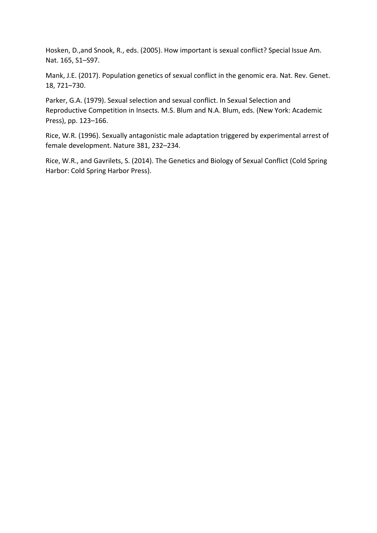Hosken, D.,and Snook, R., eds. (2005). How important is sexual conflict? Special Issue Am. Nat. 165, S1–S97.

Mank, J.E. (2017). Population genetics of sexual conflict in the genomic era. Nat. Rev. Genet. 18, 721–730.

Parker, G.A. (1979). Sexual selection and sexual conflict. In Sexual Selection and Reproductive Competition in Insects. M.S. Blum and N.A. Blum, eds. (New York: Academic Press), pp. 123–166.

Rice, W.R. (1996). Sexually antagonistic male adaptation triggered by experimental arrest of female development. Nature 381, 232–234.

Rice, W.R., and Gavrilets, S. (2014). The Genetics and Biology of Sexual Conflict (Cold Spring Harbor: Cold Spring Harbor Press).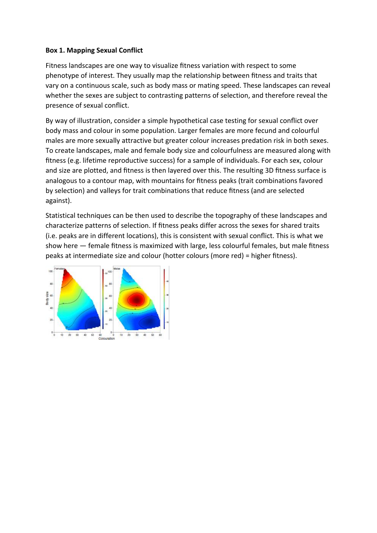#### **Box 1. Mapping Sexual Conflict**

Fitness landscapes are one way to visualize fitness variation with respect to some phenotype of interest. They usually map the relationship between fitness and traits that vary on a continuous scale, such as body mass or mating speed. These landscapes can reveal whether the sexes are subject to contrasting patterns of selection, and therefore reveal the presence of sexual conflict.

By way of illustration, consider a simple hypothetical case testing for sexual conflict over body mass and colour in some population. Larger females are more fecund and colourful males are more sexually attractive but greater colour increases predation risk in both sexes. To create landscapes, male and female body size and colourfulness are measured along with fitness (e.g. lifetime reproductive success) for a sample of individuals. For each sex, colour and size are plotted, and fitness is then layered over this. The resulting 3D fitness surface is analogous to a contour map, with mountains for fitness peaks (trait combinations favored by selection) and valleys for trait combinations that reduce fitness (and are selected against).

Statistical techniques can be then used to describe the topography of these landscapes and characterize patterns of selection. If fitness peaks differ across the sexes for shared traits (i.e. peaks are in different locations), this is consistent with sexual conflict. This is what we show here — female fitness is maximized with large, less colourful females, but male fitness peaks at intermediate size and colour (hotter colours (more red) = higher fitness).